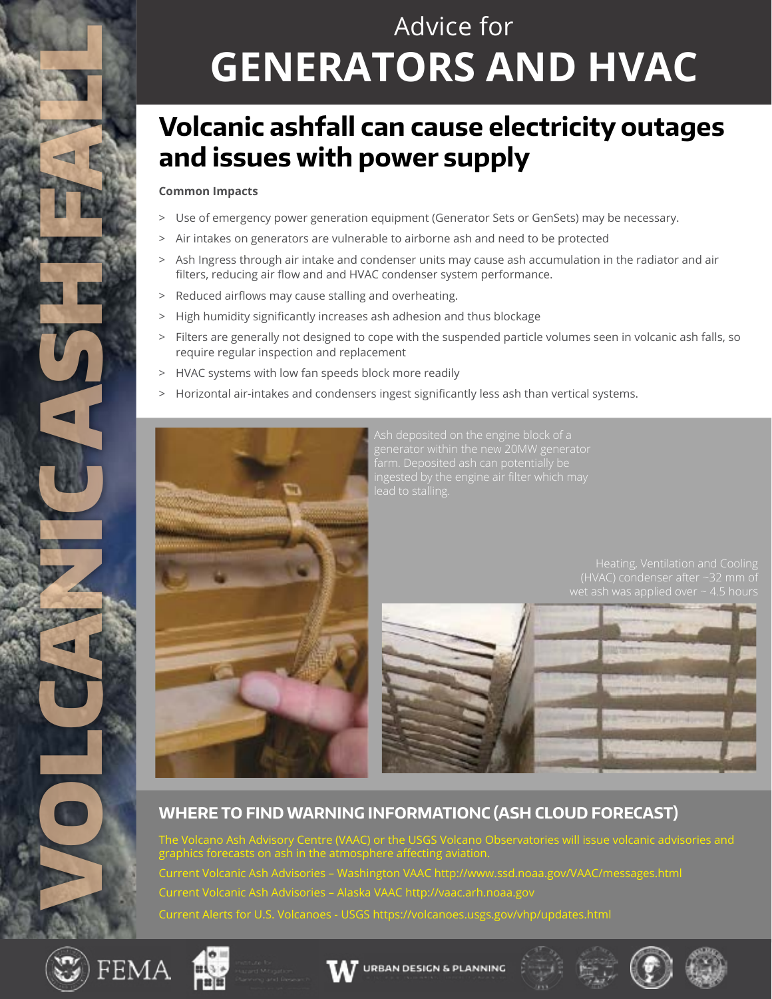

# Advice for **GENERATORS AND HVAC**

### **Volcanic ashfall can cause electricity outages and issues with power supply**

#### **Common Impacts**

- > Use of emergency power generation equipment (Generator Sets or GenSets) may be necessary.
- > Air intakes on generators are vulnerable to airborne ash and need to be protected
- > Ash Ingress through air intake and condenser units may cause ash accumulation in the radiator and air filters, reducing air flow and and HVAC condenser system performance.
- > Reduced airflows may cause stalling and overheating.
- > High humidity significantly increases ash adhesion and thus blockage
- > Filters are generally not designed to cope with the suspended particle volumes seen in volcanic ash falls, so require regular inspection and replacement
- > HVAC systems with low fan speeds block more readily
- > Horizontal air-intakes and condensers ingest significantly less ash than vertical systems.



Ash deposited on the engine block of a generator within the new 20MW generator

(HVAC) condenser after ~32 mm of



#### **WHERE TO FIND WARNING INFORMATIONC (ASH CLOUD FORECAST)**

The Volcano Ash Advisory Centre (VAAC) or the USGS Volcano Observatories will issue volcanic advisories and graphics forecasts on ash in the atmosphere affecting aviation. Current Volcanic Ash Advisories – Washington VAAC http://www.ssd.noaa.gov/VAAC/messages.html Current Volcanic Ash Advisories – Alaska VAAC http://vaac.arh.noaa.gov Current Alerts for U.S. Volcanoes - USGS https://volcanoes.usgs.gov/vhp/updates.html